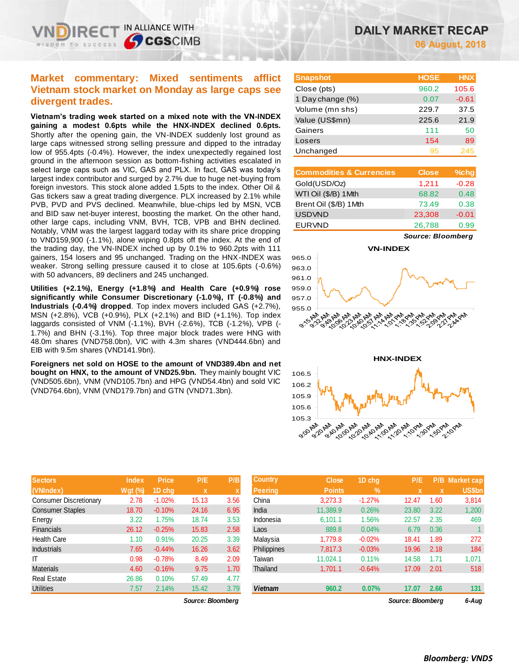# **Market commentary: Mixed sentiments afflict Vietnam stock market on Monday as large caps see divergent trades.**

IN ALLIANCE WITH

**CGS**CIMB

**Vietnam's trading week started on a mixed note with the VN-INDEX gaining a modest 0.6pts while the HNX-INDEX declined 0.6pts.** Shortly after the opening gain, the VN-INDEX suddenly lost ground as large caps witnessed strong selling pressure and dipped to the intraday low of 955.4pts (-0.4%). However, the index unexpectedly regained lost ground in the afternoon session as bottom-fishing activities escalated in select large caps such as VIC, GAS and PLX. In fact, GAS was today's largest index contributor and surged by 2.7% due to huge net-buying from foreign investors. This stock alone added 1.5pts to the index. Other Oil & Gas tickers saw a great trading divergence. PLX increased by 2.1% while PVB, PVD and PVS declined. Meanwhile, blue-chips led by MSN, VCB and BID saw net-buyer interest, boosting the market. On the other hand, other large caps, including VNM, BVH, TCB, VPB and BHN declined. Notably, VNM was the largest laggard today with its share price dropping to VND159,900 (-1.1%), alone wiping 0.8pts off the index. At the end of the trading day, the VN-INDEX inched up by 0.1% to 960.2pts with 111 gainers, 154 losers and 95 unchanged. Trading on the HNX-INDEX was weaker. Strong selling pressure caused it to close at 105.6pts (-0.6%) with 50 advancers, 89 decliners and 245 unchanged.

**Utilities (+2.1%), Energy (+1.8%) and Health Care (+0.9%) rose significantly while Consumer Discretionary (-1.0%), IT (-0.8%) and Industrials (-0.4%) dropped**. Top index movers included GAS (+2.7%), MSN (+2.8%), VCB (+0.9%), PLX (+2.1%) and BID (+1.1%). Top index laggards consisted of VNM (-1.1%), BVH (-2.6%), TCB (-1.2%), VPB (- 1.7%) and BHN (-3.1%). Top three major block trades were HNG with 48.0m shares (VND758.0bn), VIC with 4.3m shares (VND444.6bn) and EIB with 9.5m shares (VND141.9bn).

**Foreigners net sold on HOSE to the amount of VND389.4bn and net bought on HNX, to the amount of VND25.9bn.** They mainly bought VIC (VND505.6bn), VNM (VND105.7bn) and HPG (VND54.4bn) and sold VIC (VND764.6bn), VNM (VND179.7bn) and GTN (VND71.3bn).

| <b>Sectors</b>                | <b>Index</b>   | <b>Price</b> | P/E   | P/B  |
|-------------------------------|----------------|--------------|-------|------|
| (VNIndex)                     | <b>Wgt (%)</b> | 1D chq       | x     | X    |
| <b>Consumer Discretionary</b> | 2.78           | $-1.02%$     | 15.13 | 3.56 |
| <b>Consumer Staples</b>       | 18.70          | $-0.10%$     | 24.16 | 6.95 |
| Energy                        | 3.22           | 1.75%        | 18.74 | 3.53 |
| <b>Financials</b>             | 26.12          | $-0.25%$     | 15.83 | 2.58 |
| <b>Health Care</b>            | 1.10           | 0.91%        | 20.25 | 3.39 |
| <b>Industrials</b>            | 7.65           | $-0.44%$     | 16.26 | 3.62 |
| IΤ                            | 0.98           | $-0.78%$     | 8.49  | 2.09 |
| <b>Materials</b>              | 4.60           | $-0.16%$     | 9.75  | 1.70 |
| <b>Real Estate</b>            | 26.86          | 0.10%        | 57.49 | 4.77 |
| <b>Utilities</b>              | 7.57           | 2.14%        | 15.42 | 3.79 |

| <b>Snapshot</b>  | <b>HOSE</b> | <b>HNX</b> |
|------------------|-------------|------------|
| Close (pts)      | 960.2       | 105.6      |
| 1 Day change (%) | 0.07        | $-0.61$    |
| Volume (mn shs)  | 229.7       | 37.5       |
| Value (US\$mn)   | 225.6       | 21.9       |
| Gainers          | 111         | 50         |
| Losers           | 154         | 89         |
| Unchanged        | 95          | 245        |

| <b>Commodities &amp; Currencies</b> | <b>Close</b> | $%$ chg |
|-------------------------------------|--------------|---------|
| Gold(USD/Oz)                        | 1,211        | $-0.28$ |
| WTI Oil (\$/B) 1Mth                 | 68.82        | 0.48    |
| Brent Oil (\$/B) 1Mth               | 73.49        | 0.38    |
| <b>USDVND</b>                       | 23,308       | $-0.01$ |
| <b>EURVND</b>                       | 26,788       | 0.99    |

*Source: Bloomberg*





| <b>Sectors</b>          | <b>Index</b> | <b>Price</b> | P/E   | P/B               | <b>Country</b>     | <b>Close</b>  | 1D chg           | P/E   |      | <b>P/B Market cap</b> |
|-------------------------|--------------|--------------|-------|-------------------|--------------------|---------------|------------------|-------|------|-----------------------|
| (VNIndex)               | $Wgt$ (%)    | 1D chq       | X     | x                 | <b>Peering</b>     | <b>Points</b> | $\mathbb{V}_{0}$ |       |      | US\$bn                |
| Consumer Discretionary  | 2.78         | $-1.02%$     | 15.13 | 3.56              | China              | 3,273.3       | $-1.27%$         | 12.47 | 1.60 | 3,814                 |
| <b>Consumer Staples</b> | 18.70        | $-0.10%$     | 24.16 | 6.95              | India              | 11.389.9      | 0.26%            | 23.80 | 3.22 | 1,200                 |
| Energy                  | 3.22         | 1.75%        | 18.74 | 3.53              | Indonesia          | 6,101.1       | 1.56%            | 22.57 | 2.35 | 469                   |
| Financials              | 26.12        | $-0.25%$     | 15.83 | 2.58              | Laos               | 889.8         | 0.04%            | 6.79  | 0.36 |                       |
| Health Care             | 1.10         | 0.91%        | 20.25 | 3.39              | Malaysia           | 1.779.8       | $-0.02%$         | 18.41 | 1.89 | 272                   |
| <b>Industrials</b>      | 7.65         | $-0.44%$     | 16.26 | 3.62              | <b>Philippines</b> | 7.817.3       | $-0.03%$         | 19.96 | 2.18 | 184                   |
| IΤ                      | 0.98         | $-0.78%$     | 8.49  | 2.09              | Taiwan             | 11.024.1      | 0.11%            | 14.58 | 1.71 | 1,071                 |
| <b>Materials</b>        | 4.60         | $-0.16%$     | 9.75  | 1.70              | Thailand           | 1,701.1       | $-0.64%$         | 17.09 | 2.01 | 518                   |
| Real Estate             | 26.86        | 0.10%        | 57.49 | 4.77              |                    |               |                  |       |      |                       |
| <b>Utilities</b>        | 7.57         | 2.14%        | 15.42 | 3.79              | <b>Vietnam</b>     | 960.2         | 0.07%            | 17.07 | 2.66 | 131                   |
|                         |              |              |       | Source: Bloomberg |                    | 6-Aug         |                  |       |      |                       |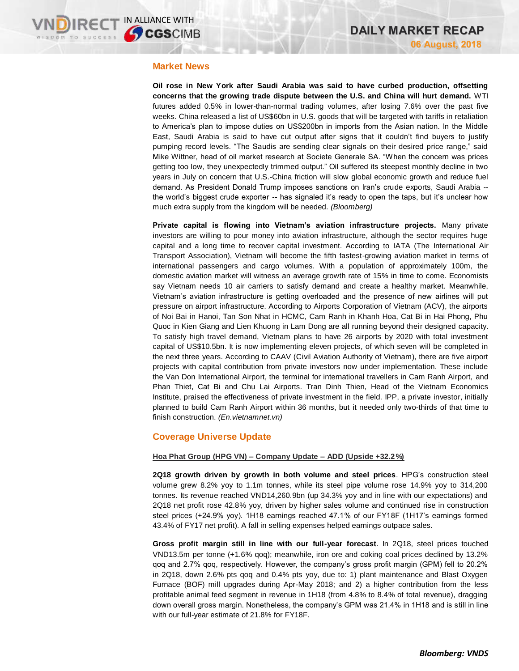## **Market News**

**Oil rose in New York after Saudi Arabia was said to have curbed production, offsetting concerns that the growing trade dispute between the U.S. and China will hurt demand.** WTI futures added 0.5% in lower-than-normal trading volumes, after losing 7.6% over the past five weeks. China released a list of US\$60bn in U.S. goods that will be targeted with tariffs in retaliation to America's plan to impose duties on US\$200bn in imports from the Asian nation. In the Middle East, Saudi Arabia is said to have cut output after signs that it couldn't find buyers to justify pumping record levels. "The Saudis are sending clear signals on their desired price range," said Mike Wittner, head of oil market research at Societe Generale SA. "When the concern was prices getting too low, they unexpectedly trimmed output." Oil suffered its steepest monthly decline in two years in July on concern that U.S.-China friction will slow global economic growth and reduce fuel demand. As President Donald Trump imposes sanctions on Iran's crude exports, Saudi Arabia - the world's biggest crude exporter -- has signaled it's ready to open the taps, but it's unclear how much extra supply from the kingdom will be needed. *(Bloomberg)*

**Private capital is flowing into Vietnam's aviation infrastructure projects.** Many private investors are willing to pour money into aviation infrastructure, although the sector requires huge capital and a long time to recover capital investment. According to IATA (The International Air Transport Association), Vietnam will become the fifth fastest-growing aviation market in terms of international passengers and cargo volumes. With a population of approximately 100m, the domestic aviation market will witness an average growth rate of 15% in time to come. Economists say Vietnam needs 10 air carriers to satisfy demand and create a healthy market. Meanwhile, Vietnam's aviation infrastructure is getting overloaded and the presence of new airlines will put pressure on airport infrastructure. According to Airports Corporation of Vietnam (ACV), the airports of Noi Bai in Hanoi, Tan Son Nhat in HCMC, Cam Ranh in Khanh Hoa, Cat Bi in Hai Phong, Phu Quoc in Kien Giang and Lien Khuong in Lam Dong are all running beyond their designed capacity. To satisfy high travel demand, Vietnam plans to have 26 airports by 2020 with total investment capital of US\$10.5bn. It is now implementing eleven projects, of which seven will be completed in the next three years. According to CAAV (Civil Aviation Authority of Vietnam), there are five airport projects with capital contribution from private investors now under implementation. These include the Van Don International Airport, the terminal for international travellers in Cam Ranh Airport, and Phan Thiet, Cat Bi and Chu Lai Airports. Tran Dinh Thien, Head of the Vietnam Economics Institute, praised the effectiveness of private investment in the field. IPP, a private investor, initially planned to build Cam Ranh Airport within 36 months, but it needed only two-thirds of that time to finish construction. *(En.vietnamnet.vn)*

## **Coverage Universe Update**

## **Hoa Phat Group (HPG VN) – Company Update – ADD (Upside +32.2%)**

**2Q18 growth driven by growth in both volume and steel prices**. HPG's construction steel volume grew 8.2% yoy to 1.1m tonnes, while its steel pipe volume rose 14.9% yoy to 314,200 tonnes. Its revenue reached VND14,260.9bn (up 34.3% yoy and in line with our expectations) and 2Q18 net profit rose 42.8% yoy, driven by higher sales volume and continued rise in construction steel prices (+24.9% yoy). 1H18 earnings reached 47.1% of our FY18F (1H17's earnings formed 43.4% of FY17 net profit). A fall in selling expenses helped earnings outpace sales.

**Gross profit margin still in line with our full-year forecast**. In 2Q18, steel prices touched VND13.5m per tonne (+1.6% qoq); meanwhile, iron ore and coking coal prices declined by 13.2% qoq and 2.7% qoq, respectively. However, the company's gross profit margin (GPM) fell to 20.2% in 2Q18, down 2.6% pts qoq and 0.4% pts yoy, due to: 1) plant maintenance and Blast Oxygen Furnace (BOF) mill upgrades during Apr-May 2018; and 2) a higher contribution from the less profitable animal feed segment in revenue in 1H18 (from 4.8% to 8.4% of total revenue), dragging down overall gross margin. Nonetheless, the company's GPM was 21.4% in 1H18 and is still in line with our full-year estimate of 21.8% for FY18F.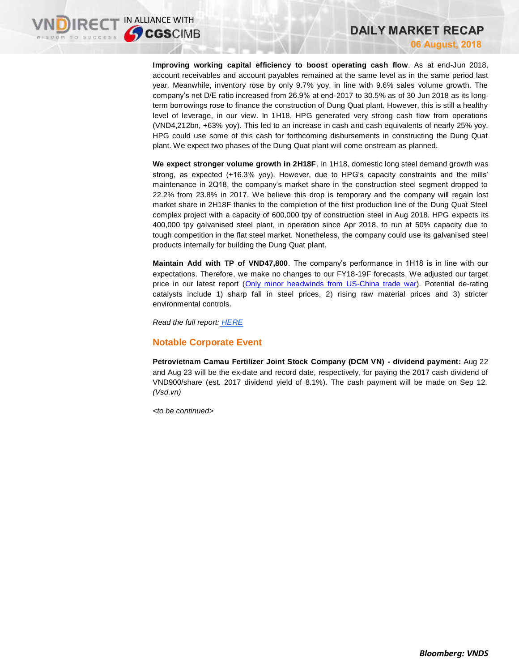**Improving working capital efficiency to boost operating cash flow**. As at end-Jun 2018, account receivables and account payables remained at the same level as in the same period last year. Meanwhile, inventory rose by only 9.7% yoy, in line with 9.6% sales volume growth. The company's net D/E ratio increased from 26.9% at end-2017 to 30.5% as of 30 Jun 2018 as its longterm borrowings rose to finance the construction of Dung Quat plant. However, this is still a healthy level of leverage, in our view. In 1H18, HPG generated very strong cash flow from operations (VND4,212bn, +63% yoy). This led to an increase in cash and cash equivalents of nearly 25% yoy. HPG could use some of this cash for forthcoming disbursements in constructing the Dung Quat plant. We expect two phases of the Dung Quat plant will come onstream as planned.

**DAILY MARKET RECAP**

**06 August, 2018**

**We expect stronger volume growth in 2H18F**. In 1H18, domestic long steel demand growth was strong, as expected (+16.3% yoy). However, due to HPG's capacity constraints and the mills' maintenance in 2Q18, the company's market share in the construction steel segment dropped to 22.2% from 23.8% in 2017. We believe this drop is temporary and the company will regain lost market share in 2H18F thanks to the completion of the first production line of the Dung Quat Steel complex project with a capacity of 600,000 tpy of construction steel in Aug 2018. HPG expects its 400,000 tpy galvanised steel plant, in operation since Apr 2018, to run at 50% capacity due to tough competition in the flat steel market. Nonetheless, the company could use its galvanised steel products internally for building the Dung Quat plant.

**Maintain Add with TP of VND47,800**. The company's performance in 1H18 is in line with our expectations. Therefore, we make no changes to our FY18-19F forecasts. We adjusted our target price in our latest report [\(Only minor headwinds from US-China trade war\)](https://brokingrfs.cimb.com/ffFotMEkNvvVkRTACcvzeZT6n6nUy2jQQqX2zQHSoKV7om1bGZN5uw4OWMHRAN1Ja56_rkCzvNd-LEx30.pdf). Potential de-rating catalysts include 1) sharp fall in steel prices, 2) rising raw material prices and 3) stricter environmental controls.

*Read the full report: [HERE](https://static-02.vndirect.com.vn/uploads/prod/HPG_Company-Update_20180806_Add.pdf)*

## **Notable Corporate Event**

**Petrovietnam Camau Fertilizer Joint Stock Company (DCM VN) - dividend payment:** Aug 22 and Aug 23 will be the ex-date and record date, respectively, for paying the 2017 cash dividend of VND900/share (est. 2017 dividend yield of 8.1%). The cash payment will be made on Sep 12. *(Vsd.vn)*

*<to be continued>*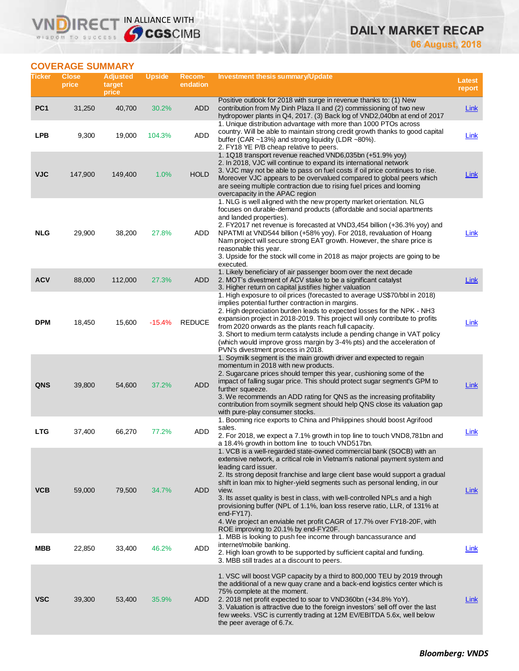# **DAILY MARKET RECAP**

**06 August, 2018**

## **COVERAGE SUMMARY**

WISDOM TO SUCCESS

IR<sub>E</sub>

VND

IN ALLIANCE WITH

| Ticker          | <b>Close</b><br>price | <b>Adjusted</b><br>target<br>price | <b>Upside</b> | Recom-<br>endation | Investment thesis summary/Update                                                                                                                                                                                                                                                                                                                                                                                                                                                                                                                                                                                                                      | Latest<br>report |
|-----------------|-----------------------|------------------------------------|---------------|--------------------|-------------------------------------------------------------------------------------------------------------------------------------------------------------------------------------------------------------------------------------------------------------------------------------------------------------------------------------------------------------------------------------------------------------------------------------------------------------------------------------------------------------------------------------------------------------------------------------------------------------------------------------------------------|------------------|
| PC <sub>1</sub> | 31,250                | 40,700                             | 30.2%         | ADD                | Positive outlook for 2018 with surge in revenue thanks to: (1) New<br>contribution from My Dinh Plaza II and (2) commissioning of two new<br>hydropower plants in Q4, 2017. (3) Back log of VND2,040bn at end of 2017                                                                                                                                                                                                                                                                                                                                                                                                                                 | <b>Link</b>      |
| LPB             | 9,300                 | 19,000                             | 104.3%        | <b>ADD</b>         | 1. Unique distribution advantage with more than 1000 PTOs across<br>country. Will be able to maintain strong credit growth thanks to good capital<br>buffer (CAR ~13%) and strong liquidity (LDR ~80%).<br>2. FY18 YE P/B cheap relative to peers.                                                                                                                                                                                                                                                                                                                                                                                                    | Link             |
| <b>VJC</b>      | 147,900               | 149,400                            | 1.0%          | <b>HOLD</b>        | 1. 1Q18 transport revenue reached VND6,035bn (+51.9% yoy)<br>2. In 2018, VJC will continue to expand its international network<br>3. VJC may not be able to pass on fuel costs if oil price continues to rise.<br>Moreover VJC appears to be overvalued compared to global peers which<br>are seeing multiple contraction due to rising fuel prices and looming<br>overcapacity in the APAC region                                                                                                                                                                                                                                                    | Link             |
| <b>NLG</b>      | 29,900                | 38,200                             | 27.8%         | ADD                | 1. NLG is well aligned with the new property market orientation. NLG<br>focuses on durable-demand products (affordable and social apartments<br>and landed properties).<br>2. FY2017 net revenue is forecasted at VND3,454 billion (+36.3% yoy) and<br>NPATMI at VND544 billion (+58% yoy). For 2018, revaluation of Hoang<br>Nam project will secure strong EAT growth. However, the share price is<br>reasonable this year.<br>3. Upside for the stock will come in 2018 as major projects are going to be<br>executed.                                                                                                                             | Link             |
| <b>ACV</b>      | 88,000                | 112,000                            | 27.3%         | <b>ADD</b>         | 1. Likely beneficiary of air passenger boom over the next decade<br>2. MOT's divestment of ACV stake to be a significant catalyst<br>3. Higher return on capital justifies higher valuation                                                                                                                                                                                                                                                                                                                                                                                                                                                           | <b>Link</b>      |
| <b>DPM</b>      | 18,450                | 15,600                             | $-15.4%$      | <b>REDUCE</b>      | 1. High exposure to oil prices (forecasted to average US\$70/bbl in 2018)<br>implies potential further contraction in margins.<br>2. High depreciation burden leads to expected losses for the NPK - NH3<br>expansion project in 2018-2019. This project will only contribute to profits<br>from 2020 onwards as the plants reach full capacity.<br>3. Short to medium term catalysts include a pending change in VAT policy<br>(which would improve gross margin by 3-4% pts) and the acceleration of<br>PVN's divestment process in 2018.                                                                                                           | Link             |
| QNS             | 39,800                | 54,600                             | 37.2%         | <b>ADD</b>         | 1. Soymilk segment is the main growth driver and expected to regain<br>momentum in 2018 with new products.<br>2. Sugarcane prices should temper this year, cushioning some of the<br>impact of falling sugar price. This should protect sugar segment's GPM to<br>further squeeze.<br>3. We recommends an ADD rating for QNS as the increasing profitability<br>contribution from soymilk segment should help QNS close its valuation gap<br>with pure-play consumer stocks.                                                                                                                                                                          | Link             |
| <b>LTG</b>      | 37,400                | 66,270                             | 77.2%         | <b>ADD</b>         | 1. Booming rice exports to China and Philippines should boost Agrifood<br>sales.<br>2. For 2018, we expect a 7.1% growth in top line to touch VND8,781bn and<br>a 18.4% growth in bottom line to touch VND517bn.                                                                                                                                                                                                                                                                                                                                                                                                                                      | Link             |
| <b>VCB</b>      | 59,000                | 79,500                             | 34.7%         | <b>ADD</b>         | 1. VCB is a well-regarded state-owned commercial bank (SOCB) with an<br>extensive network, a critical role in Vietnam's national payment system and<br>leading card issuer.<br>2. Its strong deposit franchise and large client base would support a gradual<br>shift in loan mix to higher-yield segments such as personal lending, in our<br>view.<br>3. Its asset quality is best in class, with well-controlled NPLs and a high<br>provisioning buffer (NPL of 1.1%, loan loss reserve ratio, LLR, of 131% at<br>end- $FY17$ ).<br>4. We project an enviable net profit CAGR of 17.7% over FY18-20F, with<br>ROE improving to 20.1% by end-FY20F. | Link             |
| MBB             | 22,850                | 33,400                             | 46.2%         | <b>ADD</b>         | 1. MBB is looking to push fee income through bancassurance and<br>internet/mobile banking.<br>2. High loan growth to be supported by sufficient capital and funding.<br>3. MBB still trades at a discount to peers.                                                                                                                                                                                                                                                                                                                                                                                                                                   | Link             |
| <b>VSC</b>      | 39,300                | 53,400                             | 35.9%         | ADD                | 1. VSC will boost VGP capacity by a third to 800,000 TEU by 2019 through<br>the additional of a new quay crane and a back-end logistics center which is<br>75% complete at the moment.<br>2. 2018 net profit expected to soar to VND360bn (+34.8% YoY).<br>3. Valuation is attractive due to the foreign investors' sell off over the last<br>few weeks. VSC is currently trading at 12M EV/EBITDA 5.6x, well below<br>the peer average of 6.7x.                                                                                                                                                                                                      | Link             |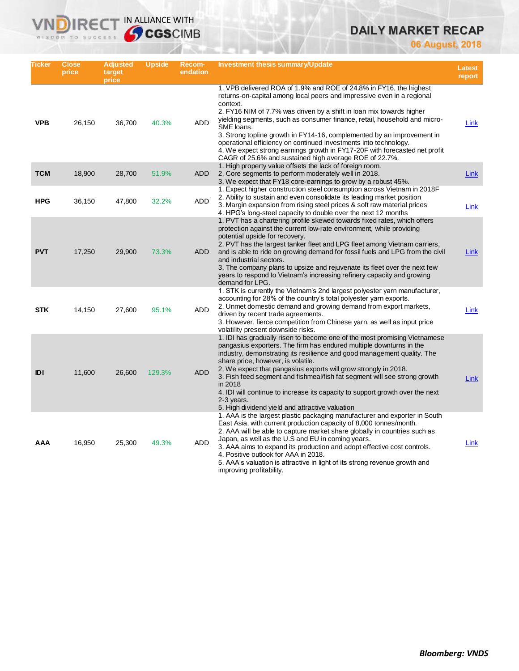# **DAILY MARKET RECAP**

**06 August, 2018**

| Ticker     | <b>Close</b><br>price | <b>Adjusted</b><br>target<br>price | <b>Upside</b> | Recom-<br>endation | Investment thesis summary/Update                                                                                                                                                                                                                                                                                                                                                                                                                                                                                                                                                                                  | <b>Latest</b><br>report |
|------------|-----------------------|------------------------------------|---------------|--------------------|-------------------------------------------------------------------------------------------------------------------------------------------------------------------------------------------------------------------------------------------------------------------------------------------------------------------------------------------------------------------------------------------------------------------------------------------------------------------------------------------------------------------------------------------------------------------------------------------------------------------|-------------------------|
| <b>VPB</b> | 26,150                | 36,700                             | 40.3%         | <b>ADD</b>         | 1. VPB delivered ROA of 1.9% and ROE of 24.8% in FY16, the highest<br>returns-on-capital among local peers and impressive even in a regional<br>context.<br>2. FY16 NIM of 7.7% was driven by a shift in loan mix towards higher<br>yielding segments, such as consumer finance, retail, household and micro-<br>SME loans.<br>3. Strong topline growth in FY14-16, complemented by an improvement in<br>operational efficiency on continued investments into technology.<br>4. We expect strong earnings growth in FY17-20F with forecasted net profit<br>CAGR of 25.6% and sustained high average ROE of 22.7%. | Link                    |
| <b>TCM</b> | 18,900                | 28,700                             | 51.9%         | <b>ADD</b>         | 1. High property value offsets the lack of foreign room.<br>2. Core segments to perform moderately well in 2018.<br>3. We expect that FY18 core-earnings to grow by a robust 45%.                                                                                                                                                                                                                                                                                                                                                                                                                                 | Link                    |
| <b>HPG</b> | 36,150                | 47,800                             | 32.2%         | <b>ADD</b>         | 1. Expect higher construction steel consumption across Vietnam in 2018F<br>2. Ability to sustain and even consolidate its leading market position<br>3. Margin expansion from rising steel prices & soft raw material prices<br>4. HPG's long-steel capacity to double over the next 12 months                                                                                                                                                                                                                                                                                                                    | Link                    |
| <b>PVT</b> | 17,250                | 29,900                             | 73.3%         | <b>ADD</b>         | 1. PVT has a chartering profile skewed towards fixed rates, which offers<br>protection against the current low-rate environment, while providing<br>potential upside for recovery.<br>2. PVT has the largest tanker fleet and LPG fleet among Vietnam carriers,<br>and is able to ride on growing demand for fossil fuels and LPG from the civil<br>and industrial sectors.<br>3. The company plans to upsize and rejuvenate its fleet over the next few<br>years to respond to Vietnam's increasing refinery capacity and growing<br>demand for LPG.                                                             | Link                    |
| <b>STK</b> | 14,150                | 27,600                             | 95.1%         | <b>ADD</b>         | 1. STK is currently the Vietnam's 2nd largest polyester yarn manufacturer,<br>accounting for 28% of the country's total polyester yarn exports.<br>2. Unmet domestic demand and growing demand from export markets,<br>driven by recent trade agreements.<br>3. However, fierce competition from Chinese yarn, as well as input price<br>volatility present downside risks.                                                                                                                                                                                                                                       | Link                    |
| IDI        | 11,600                | 26,600                             | 129.3%        | <b>ADD</b>         | 1. IDI has gradually risen to become one of the most promising Vietnamese<br>pangasius exporters. The firm has endured multiple downturns in the<br>industry, demonstrating its resilience and good management quality. The<br>share price, however, is volatile.<br>2. We expect that pangasius exports will grow strongly in 2018.<br>3. Fish feed segment and fishmeal/fish fat segment will see strong growth<br>in 2018<br>4. IDI will continue to increase its capacity to support growth over the next<br>2-3 years.<br>5. High dividend yield and attractive valuation                                    | Link                    |
| AAA        | 16,950                | 25,300                             | 49.3%         | ADD                | 1. AAA is the largest plastic packaging manufacturer and exporter in South<br>East Asia, with current production capacity of 8,000 tonnes/month.<br>2. AAA will be able to capture market share globally in countries such as<br>Japan, as well as the U.S and EU in coming years.<br>3. AAA aims to expand its production and adopt effective cost controls.<br>4. Positive outlook for AAA in 2018.<br>5. AAA's valuation is attractive in light of its strong revenue growth and<br>improving profitability.                                                                                                   | Link                    |

**VNDIRECT IN ALLIANCE WITH**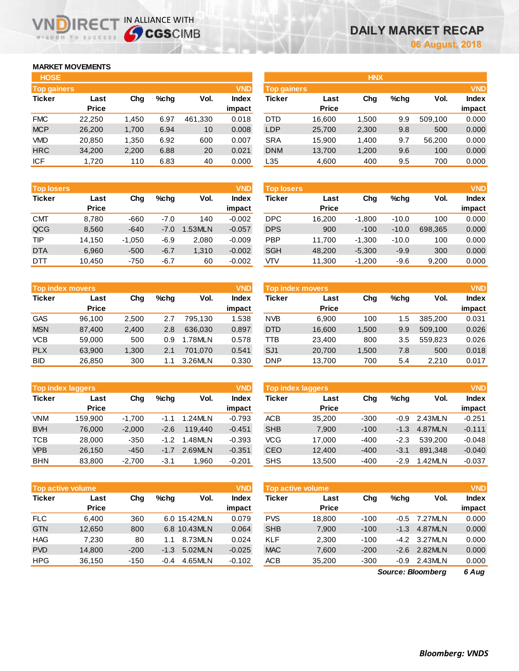## **MARKET MOVEMENTS**

WISDOM TO SUCCESS

m

IR<sub>E</sub>

| <b>HOSE</b>        |              |       |         |         |              |
|--------------------|--------------|-------|---------|---------|--------------|
| <b>Top gainers</b> |              |       |         |         | <b>VND</b>   |
| <b>Ticker</b>      | Last         | Cha   | $%$ chq | Vol.    | <b>Index</b> |
|                    | <b>Price</b> |       |         |         | impact       |
| <b>FMC</b>         | 22,250       | 1,450 | 6.97    | 461,330 | 0.018        |
| <b>MCP</b>         | 26,200       | 1,700 | 6.94    | 10      | 0.008        |
| VMD                | 20,850       | 1,350 | 6.92    | 600     | 0.007        |
| <b>HRC</b>         | 34,200       | 2,200 | 6.88    | 20      | 0.021        |
| <b>ICF</b>         | 1,720        | 110   | 6.83    | 40      | 0.000        |

IN ALLIANCE WITH

| <b>HOSE</b>        |              |       |         |         |              | <b>HNX</b>         |              |       |      |         |              |
|--------------------|--------------|-------|---------|---------|--------------|--------------------|--------------|-------|------|---------|--------------|
| <b>Top gainers</b> |              |       |         |         | <b>VND</b>   | <b>Top gainers</b> |              |       |      |         | <b>VND</b>   |
| Ticker             | Last         | Chg   | $%$ chq | Vol.    | <b>Index</b> | Ticker             | Last         | Chg   | %chq | Vol.    | <b>Index</b> |
|                    | <b>Price</b> |       |         |         | impact       |                    | <b>Price</b> |       |      |         | impact       |
| <b>FMC</b>         | 22,250       | 1,450 | 6.97    | 461,330 | 0.018        | <b>DTD</b>         | 16,600       | 1,500 | 9.9  | 509.100 | 0.000        |
| <b>MCP</b>         | 26,200       | 1,700 | 6.94    | 10      | 0.008        | <b>LDP</b>         | 25,700       | 2,300 | 9.8  | 500     | 0.000        |
| VMD                | 20,850       | 1,350 | 6.92    | 600     | 0.007        | <b>SRA</b>         | 15,900       | 1,400 | 9.7  | 56.200  | 0.000        |
| <b>HRC</b>         | 34,200       | 2,200 | 6.88    | 20      | 0.021        | <b>DNM</b>         | 13,700       | 1,200 | 9.6  | 100     | 0.000        |
| ICF                | 1,720        | 110   | 6.83    | 40      | 0.000        | L35                | 4,600        | 400   | 9.5  | 700     | 0.000        |
|                    |              |       |         |         |              |                    |              |       |      |         |              |

| <b>Top losers</b> |              |          |         |         | <b>VND</b>   |
|-------------------|--------------|----------|---------|---------|--------------|
| <b>Ticker</b>     | Last         | Cha      | $%$ chq | Vol.    | <b>Index</b> |
|                   | <b>Price</b> |          |         |         | impact       |
| <b>CMT</b>        | 8,780        | -660     | $-7.0$  | 140     | $-0.002$     |
| QCG               | 8,560        | $-640$   | $-7.0$  | 1.53MLN | $-0.057$     |
| TIP               | 14,150       | $-1,050$ | $-6.9$  | 2,080   | $-0.009$     |
| <b>DTA</b>        | 6,960        | $-500$   | $-6.7$  | 1,310   | $-0.002$     |
| DTT               | 10,450       | $-750$   | $-6.7$  | 60      | $-0.002$     |

|               | <b>VND</b><br><b>Top index movers</b> |       |         |         |              |  |  |  |  |  |  |  |
|---------------|---------------------------------------|-------|---------|---------|--------------|--|--|--|--|--|--|--|
| <b>Ticker</b> | Last                                  | Cha   | $%$ chq | Vol.    | <b>Index</b> |  |  |  |  |  |  |  |
|               | <b>Price</b>                          |       |         |         | impact       |  |  |  |  |  |  |  |
| <b>GAS</b>    | 96,100                                | 2,500 | 2.7     | 795.130 | 1.538        |  |  |  |  |  |  |  |
| <b>MSN</b>    | 87,400                                | 2,400 | 2.8     | 636,030 | 0.897        |  |  |  |  |  |  |  |
| <b>VCB</b>    | 59,000                                | 500   | 0.9     | 1.78MLN | 0.578        |  |  |  |  |  |  |  |
| <b>PLX</b>    | 63,900                                | 1,300 | 2.1     | 701.070 | 0.541        |  |  |  |  |  |  |  |
| <b>BID</b>    | 26,850                                | 300   | 1.1     | 3.26MLN | 0.330        |  |  |  |  |  |  |  |

|               | <b>VND</b><br><b>Top index laggers</b> |          |        |         |                 |               | <b>Top index laggers</b> |        |        |         | <b>VND</b>      |
|---------------|----------------------------------------|----------|--------|---------|-----------------|---------------|--------------------------|--------|--------|---------|-----------------|
| <b>Ticker</b> | Last<br><b>Price</b>                   | Cha      | %cha   | Vol.    | Index<br>impact | <b>Ticker</b> | Last<br><b>Price</b>     | Chg    | %chq   | Vol.    | Index<br>impact |
| <b>VNM</b>    | 159.900                                | $-1.700$ | $-1.1$ | .24MLN  | $-0.793$        | <b>ACB</b>    | 35,200                   | $-300$ | -0.9   | 2.43MLN | $-0.251$        |
| <b>BVH</b>    | 76,000                                 | $-2,000$ | $-2.6$ | 119,440 | $-0.451$        | <b>SHB</b>    | 7,900                    | $-100$ | $-1.3$ | 4.87MLN | $-0.111$        |
| <b>TCB</b>    | 28,000                                 | $-350$   | $-1.2$ | .48MLN  | $-0.393$        | <b>VCG</b>    | 17.000                   | $-400$ | $-2.3$ | 539.200 | $-0.048$        |
| <b>VPB</b>    | 26,150                                 | $-450$   | $-1.7$ | 2.69MLN | $-0.351$        | CEO           | 12,400                   | $-400$ | $-3.1$ | 891.348 | $-0.040$        |
| <b>BHN</b>    | 83,800                                 | $-2,700$ | $-3.1$ | 1.960   | $-0.201$        | SHS           | 13,500                   | $-400$ | $-2.9$ | 1.42MLN | $-0.037$        |

| <b>VND</b><br><b>Top active volume</b> |              |        |         |              |              |  |  |  |  |  |  |
|----------------------------------------|--------------|--------|---------|--------------|--------------|--|--|--|--|--|--|
| <b>Ticker</b>                          | Last         | Cha    | $%$ chq | Vol.         | <b>Index</b> |  |  |  |  |  |  |
|                                        | <b>Price</b> |        |         |              | impact       |  |  |  |  |  |  |
| FLC                                    | 6,400        | 360    |         | 6.0 15.42MLN | 0.079        |  |  |  |  |  |  |
| <b>GTN</b>                             | 12,650       | 800    |         | 6.8 10.43MLN | 0.064        |  |  |  |  |  |  |
| <b>HAG</b>                             | 7,230        | 80     | 1.1     | 8.73MLN      | 0.024        |  |  |  |  |  |  |
| <b>PVD</b>                             | 14,800       | $-200$ | $-1.3$  | 5.02MLN      | $-0.025$     |  |  |  |  |  |  |
| <b>HPG</b>                             | 36,150       | $-150$ | $-0.4$  | 4.65MLN      | $-0.102$     |  |  |  |  |  |  |
|                                        |              |        |         |              |              |  |  |  |  |  |  |

| <b>Top losers</b> |                      |          |         |        | VND             | <b>Top losers</b> |                      |          |         |         | <b>VND</b>             |
|-------------------|----------------------|----------|---------|--------|-----------------|-------------------|----------------------|----------|---------|---------|------------------------|
| Ticker            | Last<br><b>Price</b> | Chg      | $%$ chq | Vol.   | Index<br>impact | Ticker            | Last<br><b>Price</b> | Chg      | %chq    | Vol.    | <b>Index</b><br>impact |
| CMT               | 8,780                | $-660$   | $-7.0$  | 140    | $-0.002$        | <b>DPC</b>        | 16.200               | $-1.800$ | $-10.0$ | 100     | 0.000                  |
| QCG               | 8,560                | $-640$   | $-7.0$  | .53MLN | $-0.057$        | <b>DPS</b>        | 900                  | $-100$   | $-10.0$ | 698.365 | 0.000                  |
| TIP               | 14.150               | $-1.050$ | $-6.9$  | 2.080  | $-0.009$        | <b>PBP</b>        | 11.700               | $-1.300$ | $-10.0$ | 100     | 0.000                  |
| DTA               | 6,960                | $-500$   | $-6.7$  | 1,310  | $-0.002$        | <b>SGH</b>        | 48.200               | $-5.300$ | $-9.9$  | 300     | 0.000                  |
| DTT               | 10.450               | $-750$   | $-6.7$  | 60     | $-0.002$        | VTV               | 11,300               | $-1.200$ | -9.6    | 9.200   | 0.000                  |

| Top index movers |              |       |         |         | <b>VND</b> | <b>Top index movers</b> |              |       |         |         |        |
|------------------|--------------|-------|---------|---------|------------|-------------------------|--------------|-------|---------|---------|--------|
| Ticker           | Last         | Chg   | $%$ chq | Vol.    | Index      | Ticker                  | Last         | Chg   | $%$ chq | Vol.    | Index  |
|                  | <b>Price</b> |       |         |         | impact     |                         | <b>Price</b> |       |         |         | impact |
| GAS              | 96.100       | 2.500 | 2.7     | 795.130 | 1.538      | <b>NVB</b>              | 6.900        | 100   | 1.5     | 385.200 | 0.031  |
| <b>MSN</b>       | 87.400       | 2,400 | 2.8     | 636,030 | 0.897      | <b>DTD</b>              | 16,600       | .500  | 9.9     | 509.100 | 0.026  |
| VCB              | 59,000       | 500   | 0.9     | .78MLN  | 0.578      | ттв                     | 23.400       | 800   | 3.5     | 559.823 | 0.026  |
| <b>PLX</b>       | 63.900       | 1,300 | 2.1     | 701.070 | 0.541      | SJ <sub>1</sub>         | 20,700       | 1,500 | 7.8     | 500     | 0.018  |
| BID              | 26.850       | 300   | 1.1     | 3.26MLN | 0.330      | <b>DNP</b>              | 13.700       | 700   | 5.4     | 2,210   | 0.017  |

| <b>Top index laggers</b> |              |        |        |         |              |  |  |  |  |  |  |
|--------------------------|--------------|--------|--------|---------|--------------|--|--|--|--|--|--|
| <b>Ticker</b>            | Last         | Cha    | %chq   | Vol.    | <b>Index</b> |  |  |  |  |  |  |
|                          | <b>Price</b> |        |        |         | impact       |  |  |  |  |  |  |
| <b>ACB</b>               | 35,200       | $-300$ | -0.9   | 2.43MLN | $-0.251$     |  |  |  |  |  |  |
| <b>SHB</b>               | 7,900        | $-100$ | $-1.3$ | 4.87MLN | $-0.111$     |  |  |  |  |  |  |
| <b>VCG</b>               | 17.000       | $-400$ | $-2.3$ | 539.200 | $-0.048$     |  |  |  |  |  |  |
| <b>CEO</b>               | 12,400       | $-400$ | $-3.1$ | 891,348 | $-0.040$     |  |  |  |  |  |  |
| <b>SHS</b>               | 13,500       | $-400$ | $-2.9$ | 1.42MIN | $-0.037$     |  |  |  |  |  |  |

|            | <b>VND</b><br>Top active volume <b>b</b> |        |        |              |              |            | <b>Top active volume</b> |        |         |              |        |  |
|------------|------------------------------------------|--------|--------|--------------|--------------|------------|--------------------------|--------|---------|--------------|--------|--|
| Ticker     | Last                                     | Chg    | %chq   | Vol.         | <b>Index</b> | Ticker     | Last                     | Chg    | $%$ chq | Vol.         | Index  |  |
|            | <b>Price</b>                             |        |        |              | impact       |            | <b>Price</b>             |        |         |              | impact |  |
| FLC.       | 6.400                                    | 360    |        | 6.0 15.42MLN | 0.079        | <b>PVS</b> | 18.800                   | $-100$ |         | -0.5 7.27MLN | 0.000  |  |
| <b>GTN</b> | 12,650                                   | 800    |        | 6.8 10.43MLN | 0.064        | <b>SHB</b> | 7,900                    | $-100$ | $-1.3$  | 4.87MLN      | 0.000  |  |
| HAG        | 7.230                                    | 80     | 1.1    | 8.73MLN      | 0.024        | <b>KLF</b> | 2,300                    | $-100$ | $-4.2$  | 3.27MLN      | 0.000  |  |
| <b>PVD</b> | 14.800                                   | $-200$ | $-1.3$ | 5.02MLN      | $-0.025$     | <b>MAC</b> | 7,600                    | $-200$ | $-2.6$  | 2.82MLN      | 0.000  |  |
| HPG        | 36.150                                   | $-150$ | $-0.4$ | 4.65MLN      | $-0.102$     | <b>ACB</b> | 35,200                   | $-300$ | -0.9    | 2.43MLN      | 0.000  |  |
|            |                                          |        |        |              |              |            |                          |        |         |              |        |  |

*6 Aug Source: Bloomberg*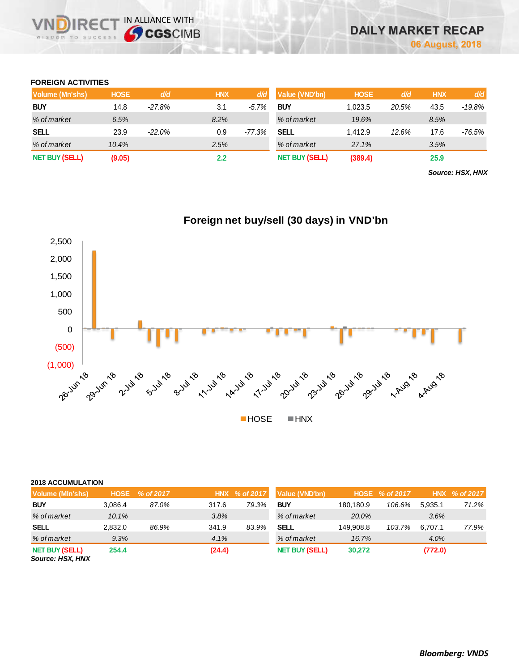## **FOREIGN ACTIVITIES**

JDIRE( WISDOM TO SUCCESS

IN ALLIANCE WITH

| Volume (Mn'shs)       | <b>HOSE</b> | d/d      | <b>HNX</b>       | d/d      | Value (VND'bn)        | <b>HOSE</b> | d/d   | <b>HNX</b> | d/d    |
|-----------------------|-------------|----------|------------------|----------|-----------------------|-------------|-------|------------|--------|
| <b>BUY</b>            | 14.8        | $-27.8%$ | 3.1              | $-5.7%$  | <b>BUY</b>            | 1.023.5     | 20.5% | 43.5       | -19.8% |
| % of market           | 6.5%        |          | 8.2%             |          | % of market           | 19.6%       |       | 8.5%       |        |
| <b>SELL</b>           | 23.9        | $-22.0%$ | 0.9              | $-77.3%$ | SELL                  | 1.412.9     | 12.6% | 17.6       | -76.5% |
| % of market           | 10.4%       |          | 2.5%             |          | % of market           | 27.1%       |       | 3.5%       |        |
| <b>NET BUY (SELL)</b> | (9.05)      |          | $2.2\phantom{0}$ |          | <b>NET BUY (SELL)</b> | (389.4)     |       | 25.9       |        |

*Source: HSX, HNX*



### **2018 ACCUMULATION**

| Volume (MIn'shs)                          | <b>HOSE</b> | % of 2017 |        | HNX % of 2017 | Value (VND'bn)        |           | HOSE % of 2017 |         | HNX % of 2017 |
|-------------------------------------------|-------------|-----------|--------|---------------|-----------------------|-----------|----------------|---------|---------------|
| <b>BUY</b>                                | 3.086.4     | 87.0%     | 317.6  | 79.3%         | <b>BUY</b>            | 180.180.9 | 106.6%         | 5.935.1 | 71.2%         |
| % of market                               | 10.1%       |           | 3.8%   |               | % of market           | 20.0%     |                | 3.6%    |               |
| <b>SELL</b>                               | 2.832.0     | 86.9%     | 341.9  | 83.9%         | SELL                  | 149.908.8 | 103.7%         | 6.707.1 | 77.9%         |
| % of market                               | 9.3%        |           | 4.1%   |               | % of market           | 16.7%     |                | 4.0%    |               |
| <b>NET BUY (SELL)</b><br>Source: HSX, HNX | 254.4       |           | (24.4) |               | <b>NET BUY (SELL)</b> | 30,272    |                | (772.0) |               |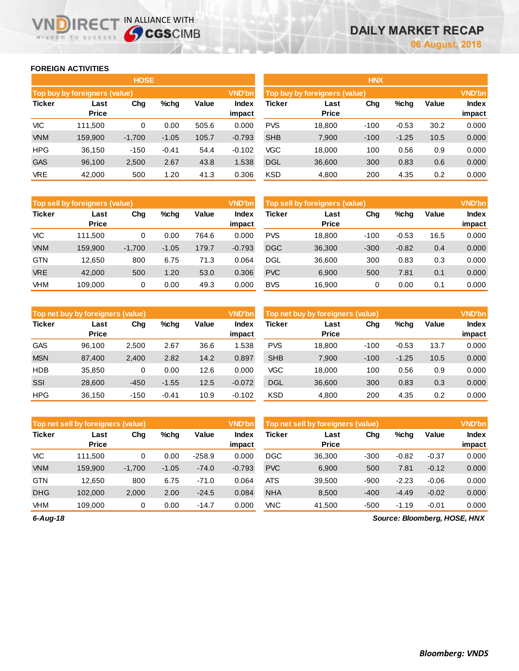$Index$ **impact**

## **FOREIGN ACTIVITIES**

**VNDIRECT IN ALLIANCE WITH** 

|               |                               | <b>HOSE</b> |         |       |                 | <b>HNX</b>                    |                      |        |         |       |                 |  |
|---------------|-------------------------------|-------------|---------|-------|-----------------|-------------------------------|----------------------|--------|---------|-------|-----------------|--|
|               | Top buy by foreigners (value) |             |         |       | <b>VND'bn</b>   | Top buy by foreigners (value) | <b>VND'bn</b>        |        |         |       |                 |  |
| <b>Ticker</b> | Last<br><b>Price</b>          | Chg         | $%$ chg | Value | Index<br>impact | <b>Ticker</b>                 | Last<br><b>Price</b> | Chg    | $%$ chg | Value | Index<br>impact |  |
| VIC           | 111,500                       | 0           | 0.00    | 505.6 | 0.000           | <b>PVS</b>                    | 18,800               | $-100$ | $-0.53$ | 30.2  | 0.000           |  |
| <b>VNM</b>    | 159,900                       | $-1,700$    | $-1.05$ | 105.7 | $-0.793$        | <b>SHB</b>                    | 7,900                | $-100$ | $-1.25$ | 10.5  | 0.000           |  |
| <b>HPG</b>    | 36,150                        | $-150$      | $-0.41$ | 54.4  | $-0.102$        | <b>VGC</b>                    | 18,000               | 100    | 0.56    | 0.9   | 0.000           |  |
| <b>GAS</b>    | 96,100                        | 2,500       | 2.67    | 43.8  | 1.538           | <b>DGL</b>                    | 36,600               | 300    | 0.83    | 0.6   | 0.000           |  |
| <b>VRE</b>    | 42,000                        | 500         | 1.20    | 41.3  | 0.306           | <b>KSD</b>                    | 4,800                | 200    | 4.35    | 0.2   | 0.000           |  |
|               |                               |             |         |       |                 |                               |                      |        |         |       |                 |  |

|               | VND'bn<br>Top sell by foreigners (value) |          |         |       |                 |               | Top sell by foreigners (value) |        |         |       |                        |
|---------------|------------------------------------------|----------|---------|-------|-----------------|---------------|--------------------------------|--------|---------|-------|------------------------|
| <b>Ticker</b> | Last<br><b>Price</b>                     | Chg      | %chq    | Value | Index<br>impact | <b>Ticker</b> | Last<br><b>Price</b>           | Chg    | %chq    | Value | <b>Index</b><br>impact |
| VIC           | 111.500                                  | 0        | 0.00    | 764.6 | 0.000           | <b>PVS</b>    | 18.800                         | $-100$ | $-0.53$ | 16.5  | 0.000                  |
| <b>VNM</b>    | 159.900                                  | $-1.700$ | $-1.05$ | 179.7 | $-0.793$        | <b>DGC</b>    | 36,300                         | $-300$ | $-0.82$ | 0.4   | 0.000                  |
| <b>GTN</b>    | 12.650                                   | 800      | 6.75    | 71.3  | 0.064           | <b>DGL</b>    | 36,600                         | 300    | 0.83    | 0.3   | 0.000                  |
| <b>VRE</b>    | 42,000                                   | 500      | 1.20    | 53.0  | 0.306           | <b>PVC</b>    | 6.900                          | 500    | 7.81    | 0.1   | 0.000                  |
| <b>VHM</b>    | 109.000                                  | 0        | 0.00    | 49.3  | 0.000           | <b>BVS</b>    | 16.900                         | 0      | 0.00    | 0.1   | 0.000                  |

|               | <b>VND'bn</b><br>Top net buy by foreigners (value) |        |         |       |                 |            | Top net buy by foreigners (value) |        |         |       |                 |
|---------------|----------------------------------------------------|--------|---------|-------|-----------------|------------|-----------------------------------|--------|---------|-------|-----------------|
| <b>Ticker</b> | Last<br><b>Price</b>                               | Chg    | %chq    | Value | Index<br>impact | Ticker     | Last<br><b>Price</b>              | Chg    | $%$ chg | Value | Index<br>impact |
| <b>GAS</b>    | 96.100                                             | 2,500  | 2.67    | 36.6  | .538            | <b>PVS</b> | 18.800                            | $-100$ | $-0.53$ | 13.7  | 0.000           |
| <b>MSN</b>    | 87,400                                             | 2,400  | 2.82    | 14.2  | 0.897           | <b>SHB</b> | 7,900                             | $-100$ | $-1.25$ | 10.5  | 0.000           |
| <b>HDB</b>    | 35,850                                             | 0      | 0.00    | 12.6  | 0.000           | <b>VGC</b> | 18.000                            | 100    | 0.56    | 0.9   | 0.000           |
| SSI           | 28,600                                             | $-450$ | $-1.55$ | 12.5  | $-0.072$        | <b>DGL</b> | 36,600                            | 300    | 0.83    | 0.3   | 0.000           |
| <b>HPG</b>    | 36.150                                             | $-150$ | $-0.41$ | 10.9  | $-0.102$        | <b>KSD</b> | 4,800                             | 200    | 4.35    | 0.2   | 0.000           |

|               | <b>VND'bn</b><br>Top net sell by foreigners (value) |          |         |          |                 |            | Top net sell by foreigners (value) |        |         |         |                 |  |
|---------------|-----------------------------------------------------|----------|---------|----------|-----------------|------------|------------------------------------|--------|---------|---------|-----------------|--|
| <b>Ticker</b> | Last<br><b>Price</b>                                | Chg      | %chq    | Value    | Index<br>impact | Ticker     | Last<br><b>Price</b>               | Chg    | %chg    | Value   | Index<br>impact |  |
| VIC           | 111.500                                             | 0        | 0.00    | $-258.9$ | 0.000           | <b>DGC</b> | 36.300                             | $-300$ | $-0.82$ | $-0.37$ | 0.000           |  |
| <b>VNM</b>    | 159.900                                             | $-1,700$ | $-1.05$ | $-74.0$  | $-0.793$        | <b>PVC</b> | 6,900                              | 500    | 7.81    | $-0.12$ | 0.000           |  |
| <b>GTN</b>    | 12.650                                              | 800      | 6.75    | $-71.0$  | 0.064           | <b>ATS</b> | 39.500                             | $-900$ | $-2.23$ | $-0.06$ | 0.000           |  |
| <b>DHG</b>    | 102,000                                             | 2,000    | 2.00    | $-24.5$  | 0.084           | <b>NHA</b> | 8,500                              | $-400$ | $-4.49$ | $-0.02$ | 0.000           |  |
| <b>VHM</b>    | 109.000                                             | 0        | 0.00    | $-14.7$  | 0.000           | <b>VNC</b> | 41,500                             | $-500$ | $-1.19$ | $-0.01$ | 0.000           |  |

*6-Aug-18*

*Source: Bloomberg, HOSE, HNX*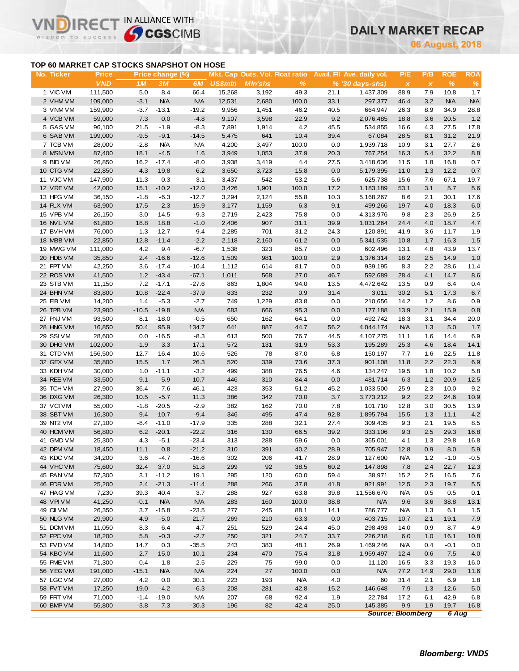# **DAILY MARKET RECAP**

**August, 2018**

## **TOP 60 MARKET CAP STOCKS SNAPSHOT ON HOSE**

 $IRF($ 

WISDOM TO SUCCESS

 $\vee$ 

IN ALLIANCE WITH

| No. Ticker             | <b>Price</b>     |                | Price change (%)   |                   |                |                |               |              | Mkt. Cap Outs. Vol. Float ratio Avail. Fil Ave. daily vol. | P/E                       | P/B          | <b>ROE</b>     | <b>ROA</b>  |
|------------------------|------------------|----------------|--------------------|-------------------|----------------|----------------|---------------|--------------|------------------------------------------------------------|---------------------------|--------------|----------------|-------------|
|                        | <b>VND</b>       | 1M             | 3M                 | 6M                | <b>US\$mln</b> | <b>MIn'shs</b> | $\frac{9}{6}$ |              | $% (30 \, \text{days-shs})$                                | $\boldsymbol{\mathsf{x}}$ | $\pmb{\chi}$ | $\%$           | $\%$        |
| 1 VIC VM               | 111,500          | 5.0            | 8.4                | 66.4              | 15,268         | 3,192          | 49.3          | 21.1         | 1,437,309                                                  | 88.9                      | 7.9          | 10.8           | 1.7         |
| 2 VHM VM               | 109,000          | $-3.1$         | N/A                | <b>N/A</b>        | 12,531         | 2,680          | 100.0         | 33.1         | 297,377                                                    | 46.4                      | 3.2          | <b>N/A</b>     | N/A         |
| 3 VNM VM               | 159,900          | $-3.7$         | $-13.1$            | $-19.2$           | 9,956          | 1,451          | 46.2          | 40.5         | 664,947                                                    | 26.3                      | 8.9          | 34.9           | 28.8        |
| 4 VCB VM               | 59,000           | 7.3            | 0.0                | $-4.8$            | 9,107          | 3,598          | 22.9          | 9.2          | 2,076,485                                                  | 18.8                      | 3.6          | 20.5           | 1.2         |
| 5 GAS VM               | 96,100           | 21.5           | $-1.9$             | $-8.3$            | 7,891          | 1,914          | 4.2           | 45.5         | 534,855                                                    | 16.6                      | 4.3          | 27.5           | 17.8        |
| 6 SAB VM               | 199,000          | $-9.5$         | $-9.1$             | $-14.5$           | 5,475          | 641            | 10.4          | 39.4         | 67,084                                                     | 28.5                      | 8.1          | 31.2           | 21.9        |
| 7 TCB VM               | 28,000           | $-2.8$         | <b>N/A</b>         | <b>N/A</b>        | 4,200          | 3,497          | 100.0         | 0.0          | 1,939,718                                                  | 10.9                      | 3.1          | 27.7           | 2.6         |
| 8 MSN VM               | 87,400           | 18.1           | $-4.5$             | 1.6               | 3,949          | 1,053          | 37.9          | 20.3         | 767,254                                                    | 16.3                      | 5.4          | 32.2           | 8.8         |
| 9 BID VM               | 26,850           | 16.2           | $-17.4$            | $-8.0$            | 3,938          | 3,419          | 4.4           | 27.5         | 3,418,636                                                  | 11.5                      | 1.8          | 16.8           | 0.7         |
| 10 CTG VM              | 22,850           | 4.3            | $-19.8$            | $-6.2$            | 3,650          | 3,723          | 15.8          | 0.0          | 5,179,395                                                  | 11.0                      | 1.3          | 12.2           | $0.7\,$     |
| 11 VJC VM              | 147,900          | 11.3           | 0.3                | 3.1               | 3,437          | 542            | 53.2          | 5.6          | 625,738                                                    | 15.6                      | 7.6          | 67.1           | 19.7        |
| 12 VRE VM              | 42,000           | 15.1           | $-10.2$            | $-12.0$           | 3,426          | 1,901          | 100.0         | 17.2         | 1,183,189                                                  | 53.1                      | 3.1          | 5.7            | 5.6         |
| 13 HPG VM              | 36,150           | $-1.8$         | $-6.3$             | $-12.7$           | 3,294          | 2,124          | 55.8          | 10.3         | 5,168,267                                                  | 8.6                       | 2.1          | 30.1           | 17.6        |
| 14 PLX VM              | 63,900           | 17.5           | $-2.3$             | $-15.9$           | 3,177          | 1,159          | 6.3           | 9.1          | 499,266                                                    | 19.7                      | 4.0          | 18.3           | $6.0\,$     |
| 15 VPB VM              | 26,150           | $-3.0$         | $-14.5$            | $-9.3$            | 2,719          | 2,423          | 75.8          | 0.0          | 4,313,976                                                  | 9.8                       | 2.3          | 26.9           | 2.5         |
| 16 NVL VM              | 61,800           | 18.8           | 18.8               | $-1.0$            | 2,406          | 907            | 31.1          | 39.9         | 1,031,264                                                  | 24.4                      | 4.0          | 18.7           | 4.7         |
| 17 BVH VM              | 76,000           | 1.3            | $-12.7$            | 9.4               | 2,285          | 701            | 31.2          | 24.3         | 120,891                                                    | 41.9                      | 3.6          | 11.7           | 1.9         |
| 18 MBB VM              | 22,850           | 12.8           | $-11.4$            | $-2.2$            | 2,118          | 2,160          | 61.2          | 0.0          | 5,341,535                                                  | 10.8                      | 1.7          | 16.3           | $1.5$       |
| 19 MWG VM              | 111,000          | $4.2\,$        | 9.4                | $-6.7$            | 1,538          | 323            | 85.7          | 0.0          | 602,496                                                    | 13.1                      | 4.8          | 43.9           | 13.7        |
| 20 HDB VM              | 35,850           | 2.4            | $-16.6$            | $-12.6$           | 1,509          | 981            | 100.0         | 2.9          | 1,376,314                                                  | 18.2                      | 2.5          | 14.9           | 1.0         |
| 21 FPT VM              | 42,250           | 3.6            | $-17.4$            | $-10.4$           | 1,112          | 614            | 81.7          | 0.0          | 939,195                                                    | 8.3                       | 2.2          | 28.6           | 11.4        |
| 22 ROS VM              | 41,500           | 1.2            | $-43.4$            | $-67.1$           | 1,011          | 568            | 27.0          | 46.7         | 592,689                                                    | 28.4                      | 4.1          | 14.7           | 8.6         |
| 23 STB VM              | 11,150           | 7.2            | $-17.1$            | $-27.6$           | 863            | 1,804          | 94.0          | 13.5         | 4,472,642                                                  | 13.5                      | 0.9          | 6.4            | 0.4         |
| 24 BHN VM              | 83,800           | 10.8           | $-22.4$            | $-37.9$           | 833            | 232            | 0.9           | 31.4         | 3,011                                                      | 30.2                      | 5.1          | 17.3           | 6.7         |
| 25 EIB VM              | 14,200           | 1.4            | $-5.3$             | $-2.7$            | 749            | 1,229          | 83.8          | 0.0          | 210,656                                                    | 14.2                      | 1.2          | 8.6            | 0.9         |
| 26 TPB VM              | 23,900           | $-10.5$        | $-19.8$            | <b>N/A</b>        | 683            | 666            | 95.3          | 0.0          | 177,188                                                    | 13.9                      | 2.1          | 15.9           | 0.8         |
| 27 PNJ VM              | 93,500           | 8.1            | $-18.0$            | $-0.5$            | 650            | 162            | 64.1          | 0.0          | 492,742                                                    | 18.3                      | 3.1          | 34.4           | 20.0        |
| 28 HNG VM              | 16,850           | 50.4           | 95.9               | 134.7             | 641            | 887            | 44.7          | 56.2         | 4,044,174                                                  | <b>N/A</b>                | 1.3          | 5.0            | 1.7         |
| 29 SSIVM               | 28,600           | 0.0            | $-16.5$            | $-8.3$            | 613            | 500            | 76.7          | 44.5         | 4,107,275                                                  | 11.1                      | 1.6          | 14.4           | 6.9         |
| 30 DHG VM              | 102,000          | $-1.9$         | 3.3                | 17.1              | 572            | 131            | 31.9          | 53.3         | 195,289                                                    | 25.3                      | 4.6          | 18.4           | 14.1        |
| 31 CTD VM              | 156,500          | 12.7           | 16.4               | $-10.6$           | 526            | 78             | 87.0          | 6.8          | 150,197                                                    | 7.7                       | 1.6          | 22.5           | 11.8        |
| 32 GEX VM              | 35,800           | 15.5           | 1.7                | 26.3              | 520            | 339            | 73.6          | 37.3         | 901,108                                                    | 11.8                      | 2.2          | 22.3           | 6.9         |
| 33 KDH VM              | 30,000           | 1.0            | $-11.1$            | $-3.2$            | 499            | 388            | 76.5          | 4.6          | 134,247                                                    | 19.5                      | 1.8          | 10.2           | 5.8         |
| 34 REE VM              | 33,500           | 9.1            | $-5.9$             | $-10.7$           | 446            | 310            | 84.4          | 0.0          | 481,714                                                    | 6.3                       | 1.2          | 20.9           | 12.5        |
| 35 TCH VM              | 27,900           | 36.4           | $-7.6$             | 46.1              | 423            | 353            | 51.2          | 45.2         | 1,033,500                                                  | 25.9                      | 2.3          | 10.0           | 9.2         |
| 36 DXG VM              | 26,300           | 10.5           | $-5.7$             | 11.3              | 386            | 342            | 70.0          | 3.7          | 3,773,212                                                  | 9.2                       | 2.2          | 24.6           | 10.9        |
| 37 VCIVM               | 55,000           | $-1.8$         | $-20.5$            | $-2.9$            | 382            | 162            | 70.0          | 7.8          | 101,710                                                    | 12.8                      | 3.0          | 30.5           | 13.9        |
| 38 SBT VM              | 16,300           | 9.4            | $-10.7$            | $-9.4$            | 346            | 495            | 47.4          | 92.8         | 1,895,794                                                  | 15.5                      | 1.3          | 11.1           | 4.2         |
| 39 NT2 VM              | 27,100           | $-8.4$         | $-11.0$            | $-17.9$           | 335            | 288            | 32.1          | 27.4         | 309,435                                                    | 9.3                       | 2.1          | 19.5           | 8.5         |
| 40 HCM VM              | 56,800           | 6.2            | $-20.1$            | $-22.2$           | 316            | 130            | 66.5          | 39.2         | 333,106                                                    | 9.3                       | 2.5          | 29.3           | 16.8        |
| 41 GMD VM              | 25,300           | 4.3            | $-5.1$             | $-23.4$           | 313            | 288            | 59.6          | 0.0          | 365,001                                                    | 4.1                       | 1.3          | 29.8           | 16.8        |
| 42 DPM VM              | 18,450           | 11.1           | 0.8                | $-21.2$           | 310            | 391            | 40.2          | 28.9         | 705,947                                                    | 12.8                      | 0.9          | 8.0            | 5.9         |
| 43 KDC VM              | 34,200           | 3.6            | $-4.7$             | $-16.6$           | 302            | 206            | 41.7          | 28.9         | 127,600                                                    | <b>N/A</b>                | 1.2          | $-1.0$         | $-0.5$      |
| 44 VHC VM              | 75,600           | 32.4           | 37.0               | 51.8              | 299            | 92             | 38.5          | 60.2         | 147,898                                                    | 7.8                       | 2.4          | 22.7           | 12.3        |
| 45 PAN VM              | 57,300           | 3.1            | $-11.2$            | 19.1              | 295            | 120            | 60.0          | 59.4         | 38,971                                                     | 15.2                      | 2.5          | 16.5           | 7.6         |
| 46 PDR VM<br>47 HAG VM | 25,200           | 2.4            | $-21.3$            | $-11.4$           | 288            | 266            | 37.8          | 41.8         | 921,991                                                    | 12.5                      | 2.3          | 19.7           | 5.5         |
| 48 VPI VM              | 7,230<br>41,250  | 39.3<br>$-0.1$ | 40.4<br><b>N/A</b> | 3.7<br><b>N/A</b> | 288<br>283     | 927<br>160     | 63.8<br>100.0 | 39.8<br>38.8 | 11,556,670<br><b>N/A</b>                                   | <b>N/A</b>                | 0.5          | 0.5            | 0.1         |
| 49 CII VM              |                  |                |                    |                   |                |                |               |              |                                                            | 9.6                       | 3.6          | 38.8           | 13.1        |
| 50 NLG VM              | 26,350<br>29,900 | 3.7            | $-15.8$            | $-23.5$           | 277<br>269     | 245<br>210     | 88.1          | 14.1<br>0.0  | 786,777                                                    | <b>N/A</b>                | 1.3          | 6.1            | 1.5         |
|                        |                  | 4.9            | $-5.0$             | 21.7              |                |                | 63.3          |              | 403,715                                                    | 10.7                      | 2.1          | 19.1           | 7.9         |
| 51 DCM VM<br>52 PPC VM | 11,050<br>18,200 | 8.3<br>5.8     | $-6.4$<br>$-0.3$   | $-4.7$<br>$-2.7$  | 251<br>250     | 529<br>321     | 24.4<br>24.7  | 45.0<br>33.7 | 298,493<br>226,218                                         | 14.0                      | 0.9          | 8.7            | 4.9         |
| 53 PVD VM              | 14,800           | 14.7           | 0.3                | $-35.5$           | 243            | 383            | 48.1          | 26.9         | 1,469,246                                                  | 6.0<br><b>N/A</b>         | 1.0<br>0.4   | 16.1<br>$-0.1$ | 10.8<br>0.0 |
| 54 KBC VM              | 11,600           | 2.7            | $-15.0$            | $-10.1$           | 234            | 470            | 75.4          | 31.8         | 1,959,497                                                  |                           |              | 7.5            | 4.0         |
| 55 PME VM              | 71,300           | 0.4            | $-1.8$             | 2.5               | 229            | 75             | 99.0          | 0.0          | 11,120                                                     | 12.4<br>16.5              | 0.6<br>3.3   | 19.3           | 16.0        |
| 56 YEG VM              | 191,000          | $-15.1$        | <b>N/A</b>         | <b>N/A</b>        | 224            | 27             | 100.0         | 0.0          | <b>N/A</b>                                                 | 77.2                      | 14.9         | 29.0           | 11.6        |
| 57 LGC VM              | 27,000           | 4.2            | 0.0                | 30.1              | 223            | 193            | <b>N/A</b>    | 4.0          | 60                                                         | 31.4                      | 2.1          | 6.9            | 1.8         |
| 58 PVT VM              | 17,250           | 19.0           | $-4.2$             | $-6.3$            | 208            | 281            | 42.8          | 15.2         | 146,648                                                    | 7.9                       | 1.3          | 12.6           | 5.0         |
| 59 FRT VM              | 71,000           | $-1.4$         | $-19.0$            | <b>N/A</b>        | 207            | 68             | 92.4          | 1.9          | 22,784                                                     | 17.2                      | 6.1          | 42.9           | 6.8         |
| 60 BMP VM              | 55,800           | $-3.8$         | 7.3                | $-30.3$           | 196            | 82             | 42.4          | 25.0         | 145,385                                                    | 9.9                       | 1.9          | 19.7           | 16.8        |
|                        |                  |                |                    |                   |                |                |               |              | <b>Source: Bloomberg</b>                                   |                           |              | 6 Aug          |             |